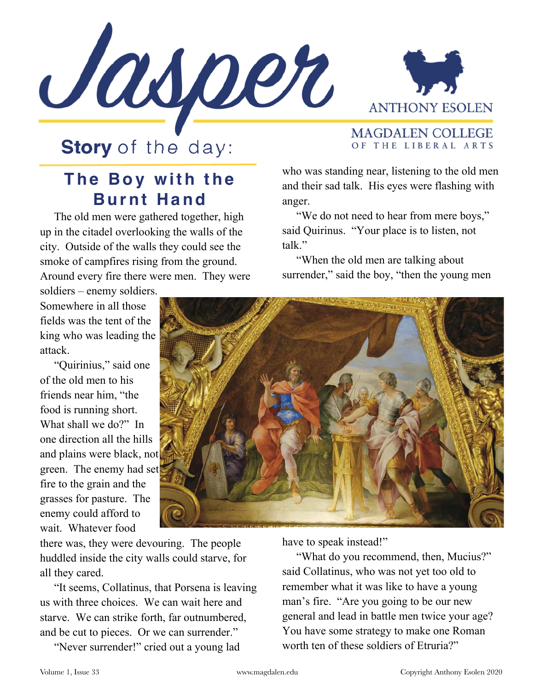



**MAGDALEN COLLEGE** 

## **Story** of the day:

## **The Boy with the Burnt Hand**

 The old men were gathered together, high up in the citadel overlooking the walls of the city. Outside of the walls they could see the smoke of campfires rising from the ground. Around every fire there were men. They were

soldiers – enemy soldiers. Somewhere in all those fields was the tent of the king who was leading the attack.

 "Quirinius," said one of the old men to his friends near him, "the food is running short. What shall we do?" In one direction all the hills and plains were black, not green. The enemy had set fire to the grain and the grasses for pasture. The enemy could afford to wait. Whatever food

OF THE LIBERAL ARTS

who was standing near, listening to the old men and their sad talk. His eyes were flashing with anger.

 "We do not need to hear from mere boys," said Quirinus. "Your place is to listen, not talk."

 "When the old men are talking about surrender," said the boy, "then the young men



there was, they were devouring. The people huddled inside the city walls could starve, for all they cared.

 "It seems, Collatinus, that Porsena is leaving us with three choices. We can wait here and starve. We can strike forth, far outnumbered, and be cut to pieces. Or we can surrender."

"Never surrender!" cried out a young lad

have to speak instead!"

 "What do you recommend, then, Mucius?" said Collatinus, who was not yet too old to remember what it was like to have a young man's fire. "Are you going to be our new general and lead in battle men twice your age? You have some strategy to make one Roman worth ten of these soldiers of Etruria?"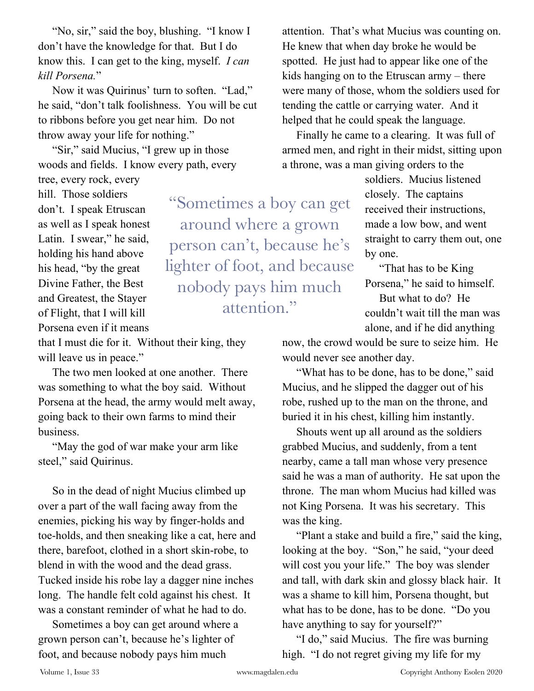"No, sir," said the boy, blushing. "I know I don't have the knowledge for that. But I do know this. I can get to the king, myself. *I can kill Porsena.*"

 Now it was Quirinus' turn to soften. "Lad," he said, "don't talk foolishness. You will be cut to ribbons before you get near him. Do not throw away your life for nothing."

 "Sir," said Mucius, "I grew up in those woods and fields. I know every path, every

tree, every rock, every hill. Those soldiers don't. I speak Etruscan as well as I speak honest Latin. I swear," he said, holding his hand above his head, "by the great Divine Father, the Best and Greatest, the Stayer of Flight, that I will kill Porsena even if it means

"Sometimes a boy can get around where a grown person can't, because he's lighter of foot, and because nobody pays him much attention."

that I must die for it. Without their king, they will leave us in peace."

 The two men looked at one another. There was something to what the boy said. Without Porsena at the head, the army would melt away, going back to their own farms to mind their business.

 "May the god of war make your arm like steel," said Quirinus.

 So in the dead of night Mucius climbed up over a part of the wall facing away from the enemies, picking his way by finger-holds and toe-holds, and then sneaking like a cat, here and there, barefoot, clothed in a short skin-robe, to blend in with the wood and the dead grass. Tucked inside his robe lay a dagger nine inches long. The handle felt cold against his chest. It was a constant reminder of what he had to do.

 Sometimes a boy can get around where a grown person can't, because he's lighter of foot, and because nobody pays him much

attention. That's what Mucius was counting on. He knew that when day broke he would be spotted. He just had to appear like one of the kids hanging on to the Etruscan army – there were many of those, whom the soldiers used for tending the cattle or carrying water. And it helped that he could speak the language.

 Finally he came to a clearing. It was full of armed men, and right in their midst, sitting upon a throne, was a man giving orders to the

> soldiers. Mucius listened closely. The captains received their instructions, made a low bow, and went straight to carry them out, one by one.

 "That has to be King Porsena," he said to himself.

 But what to do? He couldn't wait till the man was alone, and if he did anything

now, the crowd would be sure to seize him. He would never see another day.

"What has to be done, has to be done," said Mucius, and he slipped the dagger out of his robe, rushed up to the man on the throne, and buried it in his chest, killing him instantly.

 Shouts went up all around as the soldiers grabbed Mucius, and suddenly, from a tent nearby, came a tall man whose very presence said he was a man of authority. He sat upon the throne. The man whom Mucius had killed was not King Porsena. It was his secretary. This was the king.

 "Plant a stake and build a fire," said the king, looking at the boy. "Son," he said, "your deed will cost you your life." The boy was slender and tall, with dark skin and glossy black hair. It was a shame to kill him, Porsena thought, but what has to be done, has to be done. "Do you have anything to say for yourself?"

 "I do," said Mucius. The fire was burning high. "I do not regret giving my life for my